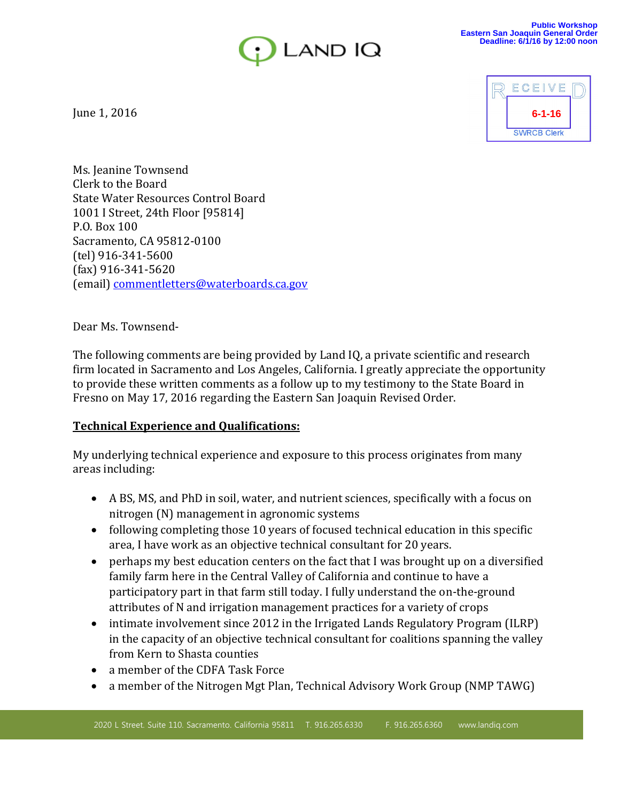



June 1, 2016

Ms. Jeanine Townsend Clerk to the Board State Water Resources Control Board 1001 I Street, 24th Floor [95814] P.O. Box 100 Sacramento, CA 95812-0100 (tel) 916-341-5600 (fax) 916-341-5620 (email) commentletters@waterboards.ca.gov

Dear Ms. Townsend-

The following comments are being provided by Land IQ, a private scientific and research firm located in Sacramento and Los Angeles, California. I greatly appreciate the opportunity to provide these written comments as a follow up to my testimony to the State Board in Fresno on May 17, 2016 regarding the Eastern San Joaquin Revised Order.

## **Technical Experience and Qualifications:**

My underlying technical experience and exposure to this process originates from many areas including:

- A BS, MS, and PhD in soil, water, and nutrient sciences, specifically with a focus on nitrogen (N) management in agronomic systems
- following completing those 10 years of focused technical education in this specific area, I have work as an objective technical consultant for 20 years.
- perhaps my best education centers on the fact that I was brought up on a diversified family farm here in the Central Valley of California and continue to have a participatory part in that farm still today. I fully understand the on-the-ground attributes of N and irrigation management practices for a variety of crops
- intimate involvement since 2012 in the Irrigated Lands Regulatory Program (ILRP) in the capacity of an objective technical consultant for coalitions spanning the valley from Kern to Shasta counties
- a member of the CDFA Task Force
- a member of the Nitrogen Mgt Plan, Technical Advisory Work Group (NMP TAWG)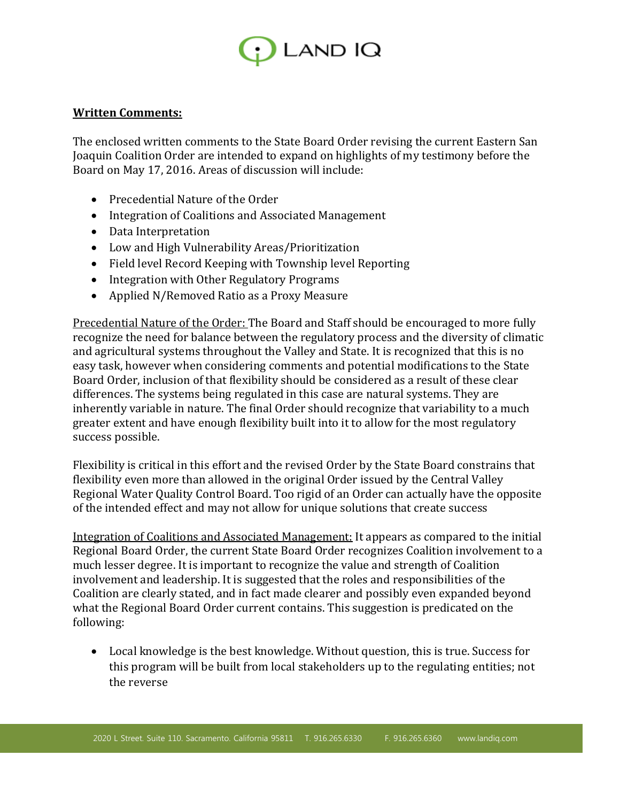

## **Written Comments:**

The enclosed written comments to the State Board Order revising the current Eastern San Joaquin Coalition Order are intended to expand on highlights of my testimony before the Board on May 17, 2016. Areas of discussion will include:

- Precedential Nature of the Order
- Integration of Coalitions and Associated Management
- Data Interpretation
- Low and High Vulnerability Areas/Prioritization
- Field level Record Keeping with Township level Reporting
- Integration with Other Regulatory Programs
- Applied N/Removed Ratio as a Proxy Measure

Precedential Nature of the Order: The Board and Staff should be encouraged to more fully recognize the need for balance between the regulatory process and the diversity of climatic and agricultural systems throughout the Valley and State. It is recognized that this is no easy task, however when considering comments and potential modifications to the State Board Order, inclusion of that flexibility should be considered as a result of these clear differences. The systems being regulated in this case are natural systems. They are inherently variable in nature. The final Order should recognize that variability to a much greater extent and have enough flexibility built into it to allow for the most regulatory success possible.

Flexibility is critical in this effort and the revised Order by the State Board constrains that flexibility even more than allowed in the original Order issued by the Central Valley Regional Water Quality Control Board. Too rigid of an Order can actually have the opposite of the intended effect and may not allow for unique solutions that create success

Integration of Coalitions and Associated Management: It appears as compared to the initial Regional Board Order, the current State Board Order recognizes Coalition involvement to a much lesser degree. It is important to recognize the value and strength of Coalition involvement and leadership. It is suggested that the roles and responsibilities of the Coalition are clearly stated, and in fact made clearer and possibly even expanded beyond what the Regional Board Order current contains. This suggestion is predicated on the following:

 Local knowledge is the best knowledge. Without question, this is true. Success for this program will be built from local stakeholders up to the regulating entities; not the reverse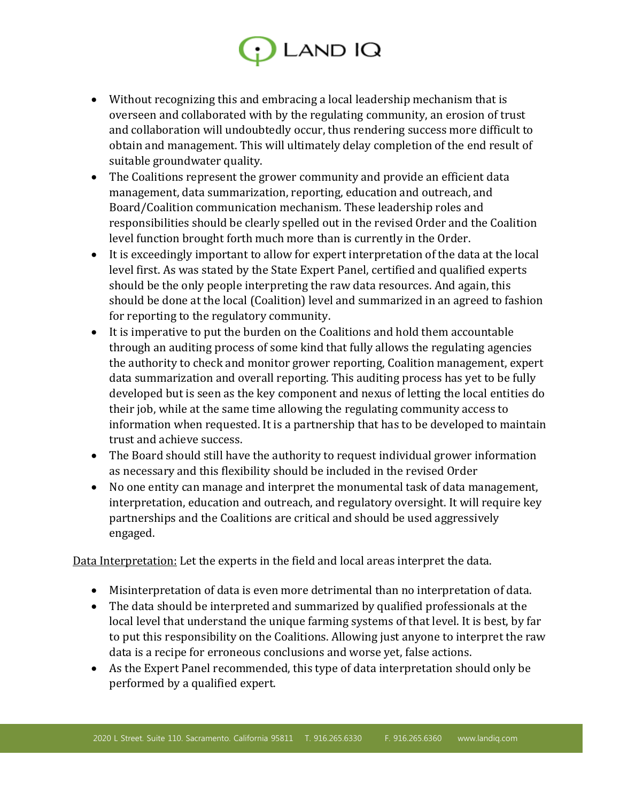## $\cdot$  LAND IQ

- Without recognizing this and embracing a local leadership mechanism that is overseen and collaborated with by the regulating community, an erosion of trust and collaboration will undoubtedly occur, thus rendering success more difficult to obtain and management. This will ultimately delay completion of the end result of suitable groundwater quality.
- The Coalitions represent the grower community and provide an efficient data management, data summarization, reporting, education and outreach, and Board/Coalition communication mechanism. These leadership roles and responsibilities should be clearly spelled out in the revised Order and the Coalition level function brought forth much more than is currently in the Order.
- It is exceedingly important to allow for expert interpretation of the data at the local level first. As was stated by the State Expert Panel, certified and qualified experts should be the only people interpreting the raw data resources. And again, this should be done at the local (Coalition) level and summarized in an agreed to fashion for reporting to the regulatory community.
- It is imperative to put the burden on the Coalitions and hold them accountable through an auditing process of some kind that fully allows the regulating agencies the authority to check and monitor grower reporting, Coalition management, expert data summarization and overall reporting. This auditing process has yet to be fully developed but is seen as the key component and nexus of letting the local entities do their job, while at the same time allowing the regulating community access to information when requested. It is a partnership that has to be developed to maintain trust and achieve success.
- The Board should still have the authority to request individual grower information as necessary and this flexibility should be included in the revised Order
- No one entity can manage and interpret the monumental task of data management, interpretation, education and outreach, and regulatory oversight. It will require key partnerships and the Coalitions are critical and should be used aggressively engaged.

Data Interpretation: Let the experts in the field and local areas interpret the data.

- Misinterpretation of data is even more detrimental than no interpretation of data.
- The data should be interpreted and summarized by qualified professionals at the local level that understand the unique farming systems of that level. It is best, by far to put this responsibility on the Coalitions. Allowing just anyone to interpret the raw data is a recipe for erroneous conclusions and worse yet, false actions.
- As the Expert Panel recommended, this type of data interpretation should only be performed by a qualified expert.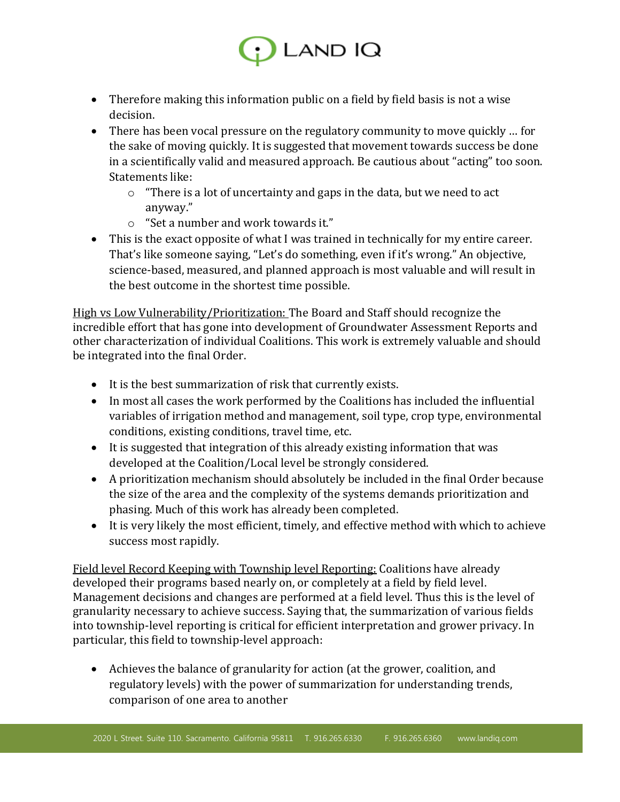

- Therefore making this information public on a field by field basis is not a wise decision.
- There has been vocal pressure on the regulatory community to move quickly … for the sake of moving quickly. It is suggested that movement towards success be done in a scientifically valid and measured approach. Be cautious about "acting" too soon. Statements like:
	- o "There is a lot of uncertainty and gaps in the data, but we need to act anyway."
	- o "Set a number and work towards it."
- This is the exact opposite of what I was trained in technically for my entire career. That's like someone saying, "Let's do something, even if it's wrong." An objective, science-based, measured, and planned approach is most valuable and will result in the best outcome in the shortest time possible.

High vs Low Vulnerability/Prioritization: The Board and Staff should recognize the incredible effort that has gone into development of Groundwater Assessment Reports and other characterization of individual Coalitions. This work is extremely valuable and should be integrated into the final Order.

- It is the best summarization of risk that currently exists.
- In most all cases the work performed by the Coalitions has included the influential variables of irrigation method and management, soil type, crop type, environmental conditions, existing conditions, travel time, etc.
- It is suggested that integration of this already existing information that was developed at the Coalition/Local level be strongly considered.
- A prioritization mechanism should absolutely be included in the final Order because the size of the area and the complexity of the systems demands prioritization and phasing. Much of this work has already been completed.
- It is very likely the most efficient, timely, and effective method with which to achieve success most rapidly.

Field level Record Keeping with Township level Reporting: Coalitions have already developed their programs based nearly on, or completely at a field by field level. Management decisions and changes are performed at a field level. Thus this is the level of granularity necessary to achieve success. Saying that, the summarization of various fields into township-level reporting is critical for efficient interpretation and grower privacy. In particular, this field to township-level approach:

 Achieves the balance of granularity for action (at the grower, coalition, and regulatory levels) with the power of summarization for understanding trends, comparison of one area to another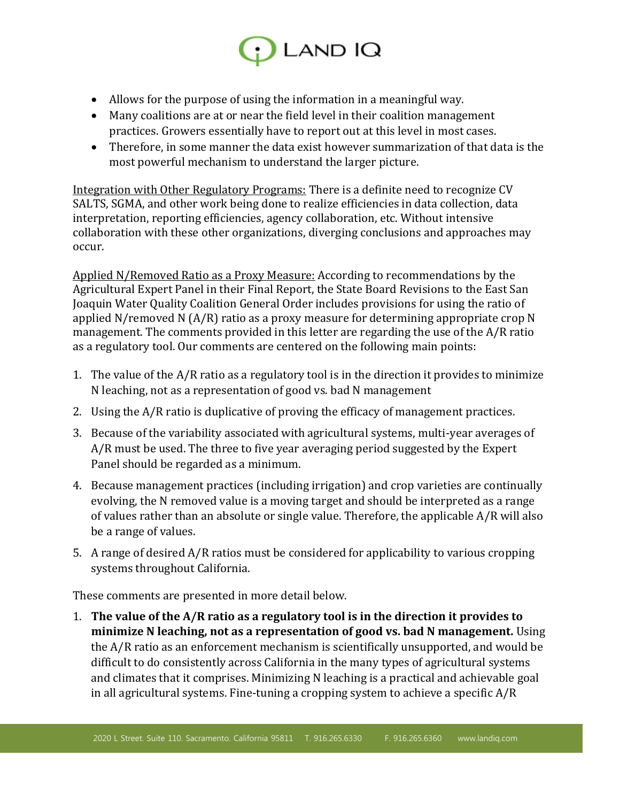

- Allows for the purpose of using the information in a meaningful way.
- Many coalitions are at or near the field level in their coalition management practices. Growers essentially have to report out at this level in most cases.
- Therefore, in some manner the data exist however summarization of that data is the most powerful mechanism to understand the larger picture.

Integration with Other Regulatory Programs: There is a definite need to recognize CV SALTS, SGMA, and other work being done to realize efficiencies in data collection, data interpretation, reporting efficiencies, agency collaboration, etc. Without intensive collaboration with these other organizations, diverging conclusions and approaches may occur.

Applied N/Removed Ratio as a Proxy Measure: According to recommendations by the Agricultural Expert Panel in their Final Report, the State Board Revisions to the East San Joaquin Water Quality Coalition General Order includes provisions for using the ratio of applied N/removed N (A/R) ratio as a proxy measure for determining appropriate crop N management. The comments provided in this letter are regarding the use of the A/R ratio as a regulatory tool. Our comments are centered on the following main points:

- 1. The value of the A/R ratio as a regulatory tool is in the direction it provides to minimize N leaching, not as a representation of good vs. bad N management
- 2. Using the A/R ratio is duplicative of proving the efficacy of management practices.
- 3. Because of the variability associated with agricultural systems, multi-year averages of A/R must be used. The three to five year averaging period suggested by the Expert Panel should be regarded as a minimum.
- 4. Because management practices (including irrigation) and crop varieties are continually evolving, the N removed value is a moving target and should be interpreted as a range of values rather than an absolute or single value. Therefore, the applicable A/R will also be a range of values.
- 5. A range of desired A/R ratios must be considered for applicability to various cropping systems throughout California.

These comments are presented in more detail below.

1. **The value of the A/R ratio as a regulatory tool is in the direction it provides to minimize N leaching, not as a representation of good vs. bad N management.** Using the A/R ratio as an enforcement mechanism is scientifically unsupported, and would be difficult to do consistently across California in the many types of agricultural systems and climates that it comprises. Minimizing N leaching is a practical and achievable goal in all agricultural systems. Fine-tuning a cropping system to achieve a specific A/R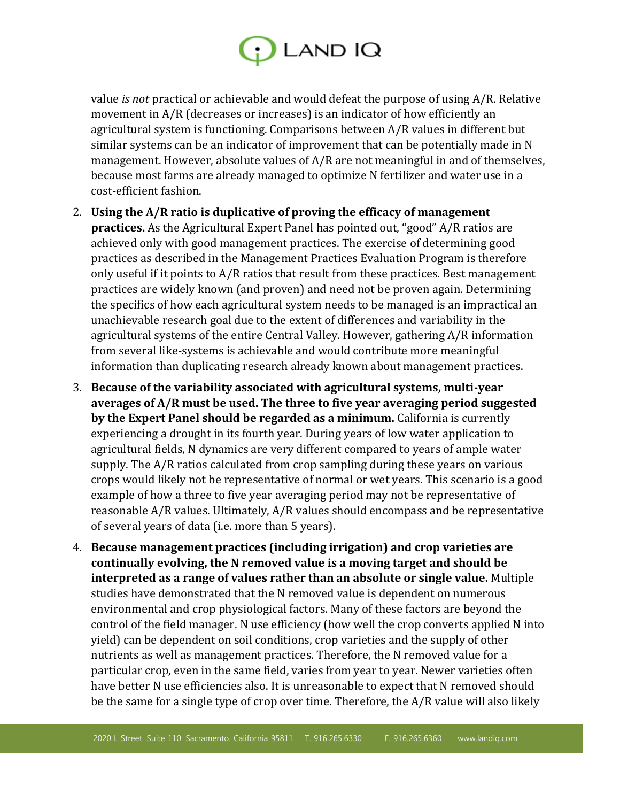

value *is not* practical or achievable and would defeat the purpose of using A/R. Relative movement in A/R (decreases or increases) is an indicator of how efficiently an agricultural system is functioning. Comparisons between A/R values in different but similar systems can be an indicator of improvement that can be potentially made in N management. However, absolute values of A/R are not meaningful in and of themselves, because most farms are already managed to optimize N fertilizer and water use in a cost-efficient fashion.

- 2. **Using the A/R ratio is duplicative of proving the efficacy of management practices.** As the Agricultural Expert Panel has pointed out, "good" A/R ratios are achieved only with good management practices. The exercise of determining good practices as described in the Management Practices Evaluation Program is therefore only useful if it points to A/R ratios that result from these practices. Best management practices are widely known (and proven) and need not be proven again. Determining the specifics of how each agricultural system needs to be managed is an impractical an unachievable research goal due to the extent of differences and variability in the agricultural systems of the entire Central Valley. However, gathering A/R information from several like-systems is achievable and would contribute more meaningful information than duplicating research already known about management practices.
- 3. **Because of the variability associated with agricultural systems, multi-year averages of A/R must be used. The three to five year averaging period suggested by the Expert Panel should be regarded as a minimum.** California is currently experiencing a drought in its fourth year. During years of low water application to agricultural fields, N dynamics are very different compared to years of ample water supply. The A/R ratios calculated from crop sampling during these years on various crops would likely not be representative of normal or wet years. This scenario is a good example of how a three to five year averaging period may not be representative of reasonable A/R values. Ultimately, A/R values should encompass and be representative of several years of data (i.e. more than 5 years).
- 4. **Because management practices (including irrigation) and crop varieties are continually evolving, the N removed value is a moving target and should be interpreted as a range of values rather than an absolute or single value.** Multiple studies have demonstrated that the N removed value is dependent on numerous environmental and crop physiological factors. Many of these factors are beyond the control of the field manager. N use efficiency (how well the crop converts applied N into yield) can be dependent on soil conditions, crop varieties and the supply of other nutrients as well as management practices. Therefore, the N removed value for a particular crop, even in the same field, varies from year to year. Newer varieties often have better N use efficiencies also. It is unreasonable to expect that N removed should be the same for a single type of crop over time. Therefore, the A/R value will also likely